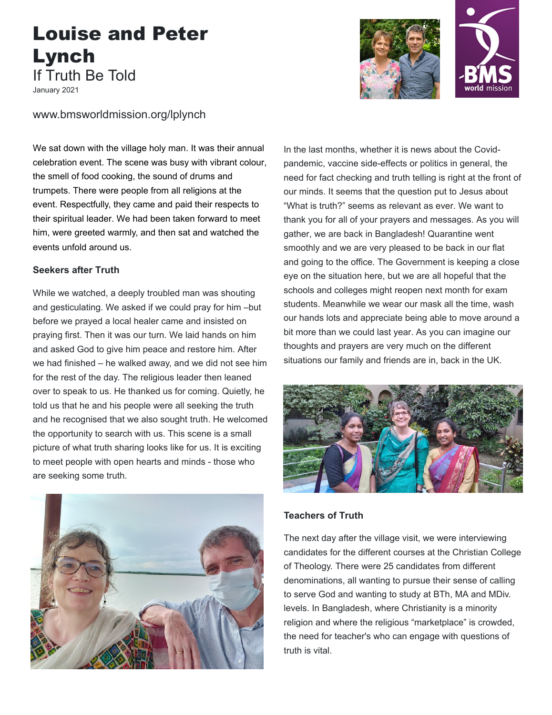## Louise and Peter Lynch If Truth Be Told

January 2021

www.bmsworldmission.org/lplynch

We sat down with the village holy man. It was their annual celebration event. The scene was busy with vibrant colour, the smell of food cooking, the sound of drums and trumpets. There were people from all religions at the event. Respectfully, they came and paid their respects to their spiritual leader. We had been taken forward to meet him, were greeted warmly, and then sat and watched the events unfold around us.

## **Seekers after Truth**

While we watched, a deeply troubled man was shouting and gesticulating. We asked if we could pray for him –but before we prayed a local healer came and insisted on praying first. Then it was our turn. We laid hands on him and asked God to give him peace and restore him. After we had finished – he walked away, and we did not see him for the rest of the day. The religious leader then leaned over to speak to us. He thanked us for coming. Quietly, he told us that he and his people were all seeking the truth and he recognised that we also sought truth. He welcomed the opportunity to search with us. This scene is a small picture of what truth sharing looks like for us. It is exciting to meet people with open hearts and minds - those who are seeking some truth.





In the last months, whether it is news about the Covidpandemic, vaccine side-effects or politics in general, the need for fact checking and truth telling is right at the front of our minds. It seems that the question put to Jesus about "What is truth?" seems as relevant as ever. We want to thank you for all of your prayers and messages. As you will gather, we are back in Bangladesh! Quarantine went smoothly and we are very pleased to be back in our flat and going to the office. The Government is keeping a close eye on the situation here, but we are all hopeful that the schools and colleges might reopen next month for exam students. Meanwhile we wear our mask all the time, wash our hands lots and appreciate being able to move around a bit more than we could last year. As you can imagine our thoughts and prayers are very much on the different situations our family and friends are in, back in the UK.



## **Teachers of Truth**

The next day after the village visit, we were interviewing candidates for the different courses at the Christian College of Theology. There were 25 candidates from different denominations, all wanting to pursue their sense of calling to serve God and wanting to study at BTh, MA and MDiv. levels. In Bangladesh, where Christianity is a minority religion and where the religious "marketplace" is crowded, the need for teacher's who can engage with questions of truth is vital.